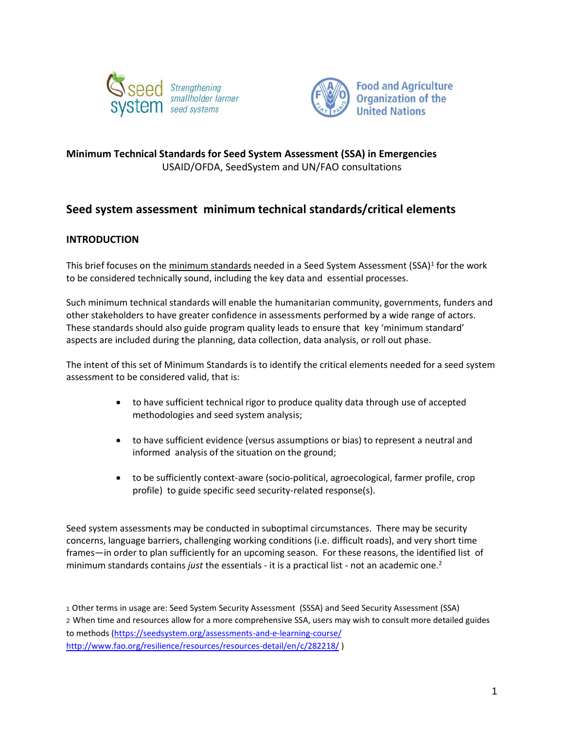



# **Minimum Technical Standards for Seed System Assessment (SSA) in Emergencies**  USAID/OFDA, SeedSystem and UN/FAO consultations

# **Seed system assessment minimum technical standards/critical elements**

## **INTRODUCTION**

This brief focuses on the minimum standards needed in a Seed System Assessment (SSA)<sup>1</sup> for the work to be considered technically sound, including the key data and essential processes.

Such minimum technical standards will enable the humanitarian community, governments, funders and other stakeholders to have greater confidence in assessments performed by a wide range of actors. These standards should also guide program quality leads to ensure that key 'minimum standard' aspects are included during the planning, data collection, data analysis, or roll out phase.

The intent of this set of Minimum Standards is to identify the critical elements needed for a seed system assessment to be considered valid, that is:

- to have sufficient technical rigor to produce quality data through use of accepted methodologies and seed system analysis;
- to have sufficient evidence (versus assumptions or bias) to represent a neutral and informed analysis of the situation on the ground;
- to be sufficiently context-aware (socio-political, agroecological, farmer profile, crop profile) to guide specific seed security-related response(s).

Seed system assessments may be conducted in suboptimal circumstances. There may be security concerns, language barriers, challenging working conditions (i.e. difficult roads), and very short time frames—in order to plan sufficiently for an upcoming season. For these reasons, the identified list of minimum standards contains *just* the essentials - it is a practical list - not an academic one.<sup>2</sup>

<sup>1</sup> Other terms in usage are: Seed System Security Assessment (SSSA) and Seed Security Assessment (SSA) <sup>2</sup> When time and resources allow for a more comprehensive SSA, users may wish to consult more detailed guides to methods [\(https://seedsystem.org/assessments-and-e-learning-course/](https://seedsystem.org/assessments-and-e-learning-course/) <http://www.fao.org/resilience/resources/resources-detail/en/c/282218/> )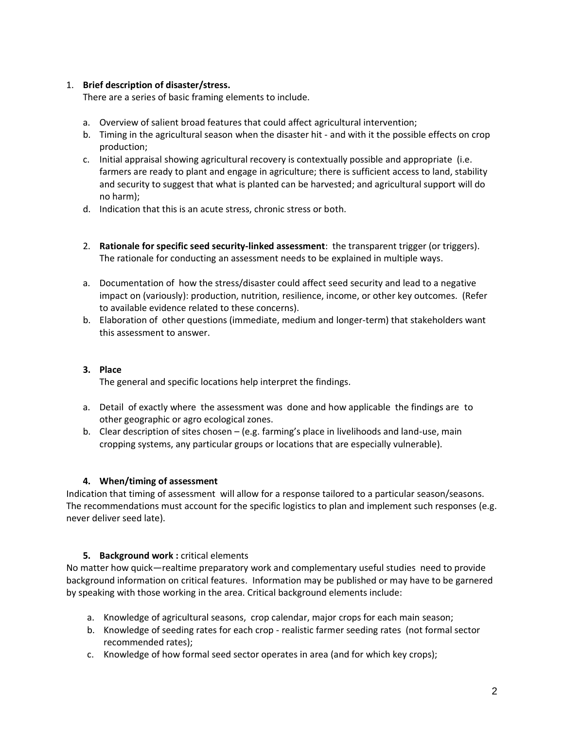#### 1. **Brief description of disaster/stress.**

There are a series of basic framing elements to include.

- a. Overview of salient broad features that could affect agricultural intervention;
- b. Timing in the agricultural season when the disaster hit and with it the possible effects on crop production;
- c. Initial appraisal showing agricultural recovery is contextually possible and appropriate (i.e. farmers are ready to plant and engage in agriculture; there is sufficient access to land, stability and security to suggest that what is planted can be harvested; and agricultural support will do no harm);
- d. Indication that this is an acute stress, chronic stress or both.
- 2. **Rationale for specific seed security-linked assessment**: the transparent trigger (or triggers). The rationale for conducting an assessment needs to be explained in multiple ways.
- a. Documentation of how the stress/disaster could affect seed security and lead to a negative impact on (variously): production, nutrition, resilience, income, or other key outcomes. (Refer to available evidence related to these concerns).
- b. Elaboration of other questions (immediate, medium and longer-term) that stakeholders want this assessment to answer.

## **3. Place**

The general and specific locations help interpret the findings.

- a. Detail of exactly where the assessment was done and how applicable the findings are to other geographic or agro ecological zones.
- b. Clear description of sites chosen (e.g. farming's place in livelihoods and land-use, main cropping systems, any particular groups or locations that are especially vulnerable).

#### **4. When/timing of assessment**

Indication that timing of assessment will allow for a response tailored to a particular season/seasons. The recommendations must account for the specific logistics to plan and implement such responses (e.g. never deliver seed late).

## **5. Background work :** critical elements

No matter how quick—realtime preparatory work and complementary useful studies need to provide background information on critical features. Information may be published or may have to be garnered by speaking with those working in the area. Critical background elements include:

- a. Knowledge of agricultural seasons, crop calendar, major crops for each main season;
- b. Knowledge of seeding rates for each crop realistic farmer seeding rates (not formal sector recommended rates);
- c. Knowledge of how formal seed sector operates in area (and for which key crops);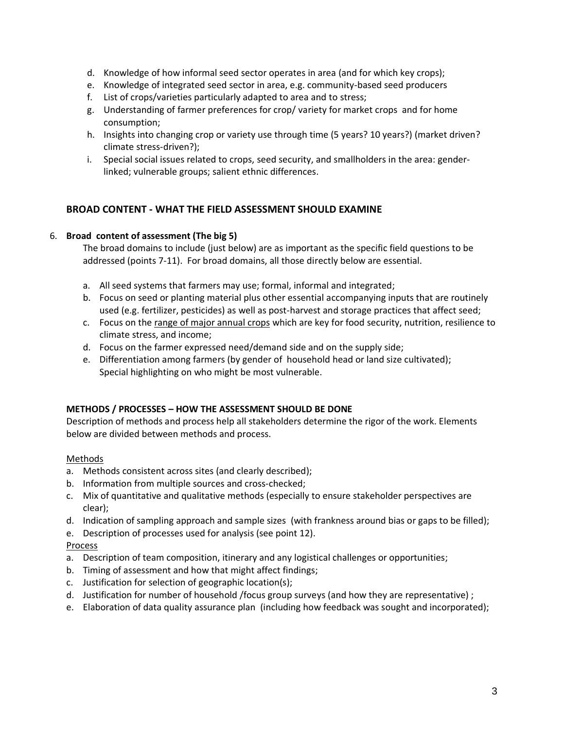- d. Knowledge of how informal seed sector operates in area (and for which key crops);
- e. Knowledge of integrated seed sector in area, e.g. community-based seed producers
- f. List of crops/varieties particularly adapted to area and to stress;
- g. Understanding of farmer preferences for crop/ variety for market crops and for home consumption;
- h. Insights into changing crop or variety use through time (5 years? 10 years?) (market driven? climate stress-driven?);
- i. Special social issues related to crops, seed security, and smallholders in the area: genderlinked; vulnerable groups; salient ethnic differences.

## **BROAD CONTENT - WHAT THE FIELD ASSESSMENT SHOULD EXAMINE**

#### 6. **Broad content of assessment (The big 5)**

The broad domains to include (just below) are as important as the specific field questions to be addressed (points 7-11). For broad domains, all those directly below are essential.

- a. All seed systems that farmers may use; formal, informal and integrated;
- b. Focus on seed or planting material plus other essential accompanying inputs that are routinely used (e.g. fertilizer, pesticides) as well as post-harvest and storage practices that affect seed;
- c. Focus on the range of major annual crops which are key for food security, nutrition, resilience to climate stress, and income;
- d. Focus on the farmer expressed need/demand side and on the supply side;
- e. Differentiation among farmers (by gender of household head or land size cultivated); Special highlighting on who might be most vulnerable.

## **METHODS / PROCESSES – HOW THE ASSESSMENT SHOULD BE DONE**

Description of methods and process help all stakeholders determine the rigor of the work. Elements below are divided between methods and process.

#### Methods

- a. Methods consistent across sites (and clearly described);
- b. Information from multiple sources and cross-checked;
- c. Mix of quantitative and qualitative methods (especially to ensure stakeholder perspectives are clear);
- d. Indication of sampling approach and sample sizes (with frankness around bias or gaps to be filled);
- e. Description of processes used for analysis (see point 12).

## Process

- a. Description of team composition, itinerary and any logistical challenges or opportunities;
- b. Timing of assessment and how that might affect findings;
- c. Justification for selection of geographic location(s);
- d. Justification for number of household /focus group surveys (and how they are representative) ;
- e. Elaboration of data quality assurance plan (including how feedback was sought and incorporated);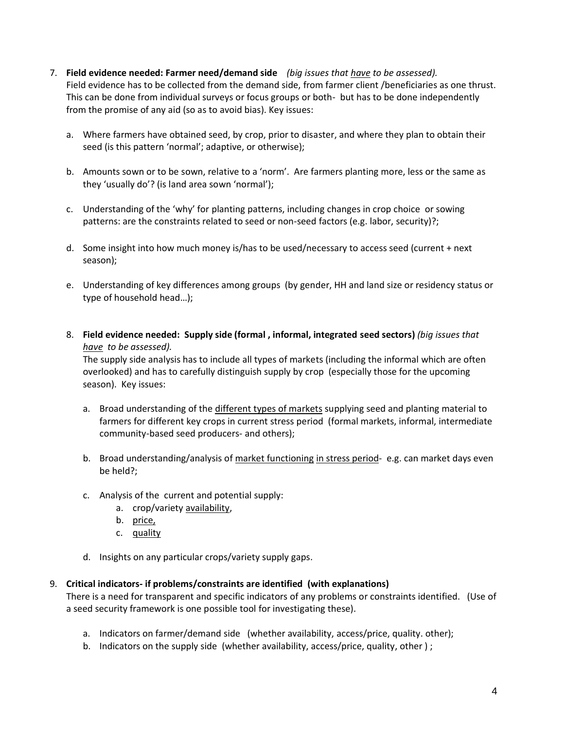- 7. **Field evidence needed: Farmer need/demand side** *(big issues that have to be assessed).* Field evidence has to be collected from the demand side, from farmer client /beneficiaries as one thrust. This can be done from individual surveys or focus groups or both- but has to be done independently from the promise of any aid (so as to avoid bias). Key issues:
	- a. Where farmers have obtained seed, by crop, prior to disaster, and where they plan to obtain their seed (is this pattern 'normal'; adaptive, or otherwise);
	- b. Amounts sown or to be sown, relative to a 'norm'. Are farmers planting more, less or the same as they 'usually do'? (is land area sown 'normal');
	- c. Understanding of the 'why' for planting patterns, including changes in crop choice or sowing patterns: are the constraints related to seed or non-seed factors (e.g. labor, security)?;
	- d. Some insight into how much money is/has to be used/necessary to access seed (current + next season);
	- e. Understanding of key differences among groups (by gender, HH and land size or residency status or type of household head…);
	- 8. **Field evidence needed: Supply side (formal , informal, integrated seed sectors)** *(big issues that have to be assessed).*

The supply side analysis has to include all types of markets (including the informal which are often overlooked) and has to carefully distinguish supply by crop (especially those for the upcoming season). Key issues:

- a. Broad understanding of the different types of markets supplying seed and planting material to farmers for different key crops in current stress period (formal markets, informal, intermediate community-based seed producers- and others);
- b. Broad understanding/analysis of market functioning in stress period- e.g. can market days even be held?;
- c. Analysis of the current and potential supply:
	- a. crop/variety availability,
	- b. price,
	- c. quality
- d. Insights on any particular crops/variety supply gaps.

#### 9. **Critical indicators- if problems/constraints are identified (with explanations)**

There is a need for transparent and specific indicators of any problems or constraints identified. (Use of a seed security framework is one possible tool for investigating these).

- a. Indicators on farmer/demand side (whether availability, access/price, quality. other);
- b. Indicators on the supply side (whether availability, access/price, quality, other ) ;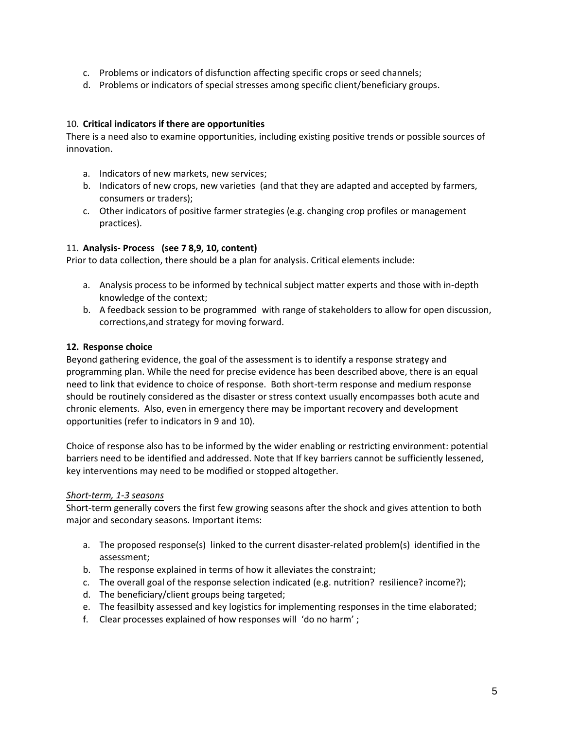- c. Problems or indicators of disfunction affecting specific crops or seed channels;
- d. Problems or indicators of special stresses among specific client/beneficiary groups.

#### 10. **Critical indicators if there are opportunities**

There is a need also to examine opportunities, including existing positive trends or possible sources of innovation.

- a. Indicators of new markets, new services;
- b. Indicators of new crops, new varieties (and that they are adapted and accepted by farmers, consumers or traders);
- c. Other indicators of positive farmer strategies (e.g. changing crop profiles or management practices).

#### 11. **Analysis- Process (see 7 8,9, 10, content)**

Prior to data collection, there should be a plan for analysis. Critical elements include:

- a. Analysis process to be informed by technical subject matter experts and those with in-depth knowledge of the context;
- b. A feedback session to be programmed with range of stakeholders to allow for open discussion, corrections,and strategy for moving forward.

#### **12. Response choice**

Beyond gathering evidence, the goal of the assessment is to identify a response strategy and programming plan. While the need for precise evidence has been described above, there is an equal need to link that evidence to choice of response. Both short-term response and medium response should be routinely considered as the disaster or stress context usually encompasses both acute and chronic elements. Also, even in emergency there may be important recovery and development opportunities (refer to indicators in 9 and 10).

Choice of response also has to be informed by the wider enabling or restricting environment: potential barriers need to be identified and addressed. Note that If key barriers cannot be sufficiently lessened, key interventions may need to be modified or stopped altogether.

#### *Short-term, 1-3 seasons*

Short-term generally covers the first few growing seasons after the shock and gives attention to both major and secondary seasons. Important items:

- a. The proposed response(s) linked to the current disaster-related problem(s) identified in the assessment;
- b. The response explained in terms of how it alleviates the constraint;
- c. The overall goal of the response selection indicated (e.g. nutrition? resilience? income?);
- d. The beneficiary/client groups being targeted;
- e. The feasilbity assessed and key logistics for implementing responses in the time elaborated;
- f. Clear processes explained of how responses will 'do no harm' ;